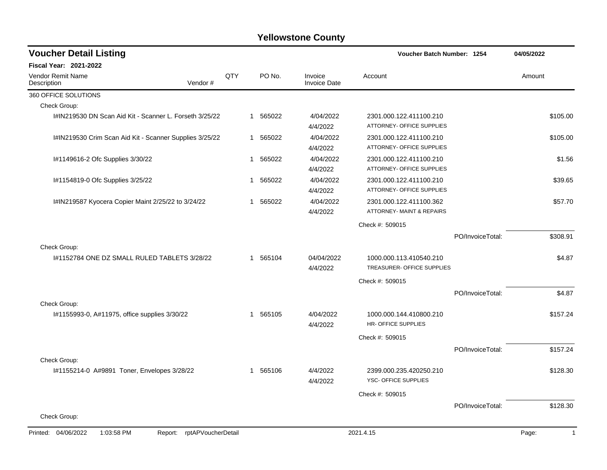| <b>Voucher Detail Listing</b>                                      |     |          |                                | Voucher Batch Number: 1254                            |                  | 04/05/2022            |
|--------------------------------------------------------------------|-----|----------|--------------------------------|-------------------------------------------------------|------------------|-----------------------|
| Fiscal Year: 2021-2022                                             |     |          |                                |                                                       |                  |                       |
| Vendor Remit Name<br>Vendor#<br>Description                        | QTY | PO No.   | Invoice<br><b>Invoice Date</b> | Account                                               |                  | Amount                |
| 360 OFFICE SOLUTIONS                                               |     |          |                                |                                                       |                  |                       |
| Check Group:                                                       |     |          |                                |                                                       |                  |                       |
| I#IN219530 DN Scan Aid Kit - Scanner L. Forseth 3/25/22            |     | 1 565022 | 4/04/2022<br>4/4/2022          | 2301.000.122.411100.210<br>ATTORNEY- OFFICE SUPPLIES  |                  | \$105.00              |
| I#IN219530 Crim Scan Aid Kit - Scanner Supplies 3/25/22            |     | 1 565022 | 4/04/2022<br>4/4/2022          | 2301.000.122.411100.210<br>ATTORNEY- OFFICE SUPPLIES  |                  | \$105.00              |
| I#1149616-2 Ofc Supplies 3/30/22                                   | 1   | 565022   | 4/04/2022<br>4/4/2022          | 2301.000.122.411100.210<br>ATTORNEY- OFFICE SUPPLIES  |                  | \$1.56                |
| I#1154819-0 Ofc Supplies 3/25/22                                   | 1   | 565022   | 4/04/2022<br>4/4/2022          | 2301.000.122.411100.210<br>ATTORNEY- OFFICE SUPPLIES  |                  | \$39.65               |
| I#IN219587 Kyocera Copier Maint 2/25/22 to 3/24/22                 | 1   | 565022   | 4/04/2022<br>4/4/2022          | 2301.000.122.411100.362<br>ATTORNEY- MAINT & REPAIRS  |                  | \$57.70               |
|                                                                    |     |          |                                | Check #: 509015                                       |                  |                       |
|                                                                    |     |          |                                |                                                       | PO/InvoiceTotal: | \$308.91              |
| Check Group:                                                       |     |          |                                |                                                       |                  |                       |
| 1#1152784 ONE DZ SMALL RULED TABLETS 3/28/22                       | 1   | 565104   | 04/04/2022<br>4/4/2022         | 1000.000.113.410540.210<br>TREASURER- OFFICE SUPPLIES |                  | \$4.87                |
|                                                                    |     |          |                                | Check #: 509015                                       |                  |                       |
|                                                                    |     |          |                                |                                                       | PO/InvoiceTotal: | \$4.87                |
| Check Group:                                                       |     |          |                                |                                                       |                  |                       |
| l#1155993-0, A#11975, office supplies 3/30/22                      |     | 1 565105 | 4/04/2022<br>4/4/2022          | 1000.000.144.410800.210<br>HR- OFFICE SUPPLIES        |                  | \$157.24              |
|                                                                    |     |          |                                | Check #: 509015                                       |                  |                       |
|                                                                    |     |          |                                |                                                       | PO/InvoiceTotal: | \$157.24              |
| Check Group:                                                       |     |          |                                |                                                       |                  |                       |
| I#1155214-0 A#9891 Toner, Envelopes 3/28/22                        | 1   | 565106   | 4/4/2022<br>4/4/2022           | 2399.000.235.420250.210<br>YSC- OFFICE SUPPLIES       |                  | \$128.30              |
|                                                                    |     |          |                                | Check #: 509015                                       |                  |                       |
|                                                                    |     |          |                                |                                                       | PO/InvoiceTotal: | \$128.30              |
| Check Group:                                                       |     |          |                                |                                                       |                  |                       |
| Printed: 04/06/2022<br>rptAPVoucherDetail<br>1:03:58 PM<br>Report: |     |          |                                | 2021.4.15                                             |                  | Page:<br>$\mathbf{1}$ |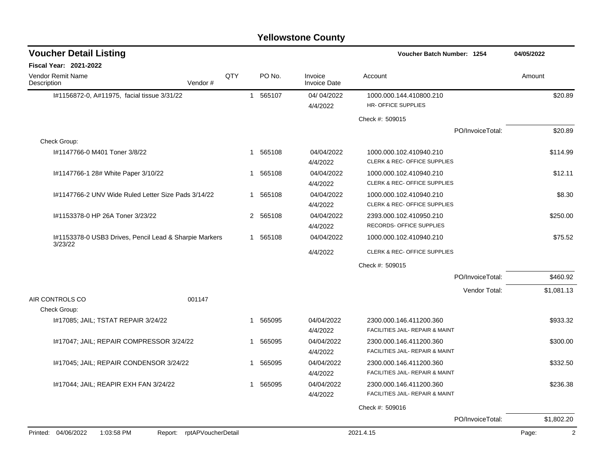| <b>Voucher Detail Listing</b>                          |                            |              |                        |                                | Voucher Batch Number: 1254                                         |                  | 04/05/2022 |
|--------------------------------------------------------|----------------------------|--------------|------------------------|--------------------------------|--------------------------------------------------------------------|------------------|------------|
| Fiscal Year: 2021-2022                                 |                            |              |                        |                                |                                                                    |                  |            |
| <b>Vendor Remit Name</b><br>Description                | Vendor#                    | QTY          | PO No.                 | Invoice<br><b>Invoice Date</b> | Account                                                            |                  | Amount     |
| I#1156872-0, A#11975, facial tissue 3/31/22            |                            |              | 565107<br>$\mathbf{1}$ | 04/04/2022<br>4/4/2022         | 1000.000.144.410800.210<br>HR- OFFICE SUPPLIES                     |                  | \$20.89    |
|                                                        |                            |              |                        |                                | Check #: 509015                                                    |                  |            |
|                                                        |                            |              |                        |                                |                                                                    | PO/InvoiceTotal: | \$20.89    |
| Check Group:                                           |                            |              |                        |                                |                                                                    |                  |            |
| I#1147766-0 M401 Toner 3/8/22                          |                            | $\mathbf{1}$ | 565108                 | 04/04/2022<br>4/4/2022         | 1000.000.102.410940.210<br>CLERK & REC- OFFICE SUPPLIES            |                  | \$114.99   |
| #1147766-1 28# White Paper 3/10/22                     |                            | $\mathbf 1$  | 565108                 | 04/04/2022<br>4/4/2022         | 1000.000.102.410940.210<br><b>CLERK &amp; REC- OFFICE SUPPLIES</b> |                  | \$12.11    |
| I#1147766-2 UNV Wide Ruled Letter Size Pads 3/14/22    |                            | 1            | 565108                 | 04/04/2022<br>4/4/2022         | 1000.000.102.410940.210<br>CLERK & REC- OFFICE SUPPLIES            |                  | \$8.30     |
| I#1153378-0 HP 26A Toner 3/23/22                       |                            |              | 2 565108               | 04/04/2022<br>4/4/2022         | 2393.000.102.410950.210<br>RECORDS- OFFICE SUPPLIES                |                  | \$250.00   |
| I#1153378-0 USB3 Drives, Pencil Lead & Sharpie Markers |                            |              | 565108<br>$\mathbf{1}$ | 04/04/2022                     | 1000.000.102.410940.210                                            |                  | \$75.52    |
| 3/23/22                                                |                            |              |                        | 4/4/2022                       | CLERK & REC- OFFICE SUPPLIES                                       |                  |            |
|                                                        |                            |              |                        |                                | Check #: 509015                                                    |                  |            |
|                                                        |                            |              |                        |                                |                                                                    | PO/InvoiceTotal: | \$460.92   |
|                                                        |                            |              |                        |                                |                                                                    | Vendor Total:    | \$1,081.13 |
| AIR CONTROLS CO<br>Check Group:                        | 001147                     |              |                        |                                |                                                                    |                  |            |
| 1#17085; JAIL; TSTAT REPAIR 3/24/22                    |                            | $\mathbf 1$  | 565095                 | 04/04/2022<br>4/4/2022         | 2300.000.146.411200.360<br>FACILITIES JAIL- REPAIR & MAINT         |                  | \$933.32   |
| I#17047; JAIL; REPAIR COMPRESSOR 3/24/22               |                            | 1            | 565095                 | 04/04/2022<br>4/4/2022         | 2300.000.146.411200.360<br>FACILITIES JAIL- REPAIR & MAINT         |                  | \$300.00   |
| 1#17045; JAIL; REPAIR CONDENSOR 3/24/22                |                            | $\mathbf 1$  | 565095                 | 04/04/2022<br>4/4/2022         | 2300.000.146.411200.360<br>FACILITIES JAIL- REPAIR & MAINT         |                  | \$332.50   |
| 1#17044; JAIL; REAPIR EXH FAN 3/24/22                  |                            | $\mathbf{1}$ | 565095                 | 04/04/2022<br>4/4/2022         | 2300.000.146.411200.360<br>FACILITIES JAIL- REPAIR & MAINT         |                  | \$236.38   |
|                                                        |                            |              |                        |                                | Check #: 509016                                                    |                  |            |
|                                                        |                            |              |                        |                                |                                                                    | PO/InvoiceTotal: | \$1,802.20 |
| Printed: 04/06/2022<br>1:03:58 PM                      | Report: rptAPVoucherDetail |              |                        |                                | 2021.4.15                                                          |                  | 2<br>Page: |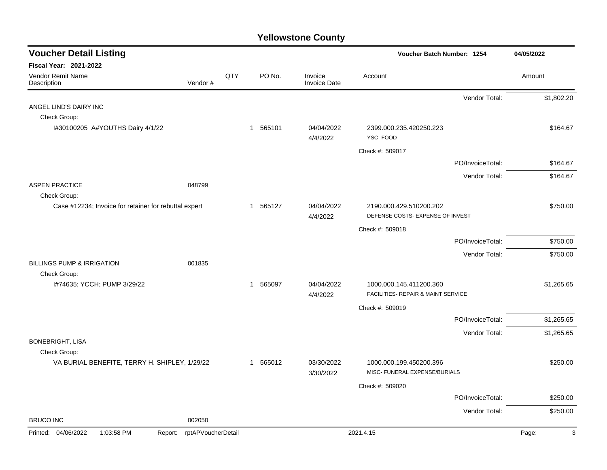| <b>Voucher Detail Listing</b>                         |                    |     |             |                                | Voucher Batch Number: 1254                                  |                  | 04/05/2022 |
|-------------------------------------------------------|--------------------|-----|-------------|--------------------------------|-------------------------------------------------------------|------------------|------------|
| Fiscal Year: 2021-2022                                |                    |     |             |                                |                                                             |                  |            |
| Vendor Remit Name<br>Description                      | Vendor#            | QTY | PO No.      | Invoice<br><b>Invoice Date</b> | Account                                                     |                  | Amount     |
|                                                       |                    |     |             |                                |                                                             | Vendor Total:    | \$1,802.20 |
| ANGEL LIND'S DAIRY INC                                |                    |     |             |                                |                                                             |                  |            |
| Check Group:                                          |                    |     |             |                                |                                                             |                  |            |
| I#30100205 A#YOUTHS Dairy 4/1/22                      |                    |     | 1 565101    | 04/04/2022<br>4/4/2022         | 2399.000.235.420250.223<br>YSC-FOOD                         |                  | \$164.67   |
|                                                       |                    |     |             |                                | Check #: 509017                                             |                  |            |
|                                                       |                    |     |             |                                |                                                             | PO/InvoiceTotal: | \$164.67   |
|                                                       |                    |     |             |                                |                                                             | Vendor Total:    | \$164.67   |
| <b>ASPEN PRACTICE</b>                                 | 048799             |     |             |                                |                                                             |                  |            |
| Check Group:                                          |                    |     |             |                                |                                                             |                  |            |
| Case #12234; Invoice for retainer for rebuttal expert |                    |     | 1 565127    | 04/04/2022                     | 2190.000.429.510200.202<br>DEFENSE COSTS- EXPENSE OF INVEST |                  | \$750.00   |
|                                                       |                    |     |             | 4/4/2022                       |                                                             |                  |            |
|                                                       |                    |     |             |                                | Check #: 509018                                             |                  |            |
|                                                       |                    |     |             |                                |                                                             | PO/InvoiceTotal: | \$750.00   |
|                                                       |                    |     |             |                                |                                                             | Vendor Total:    | \$750.00   |
| <b>BILLINGS PUMP &amp; IRRIGATION</b><br>Check Group: | 001835             |     |             |                                |                                                             |                  |            |
| I#74635; YCCH; PUMP 3/29/22                           |                    |     | 565097<br>1 | 04/04/2022                     | 1000.000.145.411200.360                                     |                  | \$1,265.65 |
|                                                       |                    |     |             | 4/4/2022                       | FACILITIES- REPAIR & MAINT SERVICE                          |                  |            |
|                                                       |                    |     |             |                                | Check #: 509019                                             |                  |            |
|                                                       |                    |     |             |                                |                                                             | PO/InvoiceTotal: | \$1,265.65 |
|                                                       |                    |     |             |                                |                                                             | Vendor Total:    | \$1,265.65 |
| <b>BONEBRIGHT, LISA</b>                               |                    |     |             |                                |                                                             |                  |            |
| Check Group:                                          |                    |     |             |                                |                                                             |                  |            |
| VA BURIAL BENEFITE, TERRY H. SHIPLEY, 1/29/22         |                    |     | 1 565012    | 03/30/2022<br>3/30/2022        | 1000.000.199.450200.396<br>MISC- FUNERAL EXPENSE/BURIALS    |                  | \$250.00   |
|                                                       |                    |     |             |                                | Check #: 509020                                             |                  |            |
|                                                       |                    |     |             |                                |                                                             | PO/InvoiceTotal: | \$250.00   |
|                                                       |                    |     |             |                                |                                                             | Vendor Total:    | \$250.00   |
| <b>BRUCO INC</b>                                      | 002050             |     |             |                                |                                                             |                  |            |
| Printed: 04/06/2022<br>1:03:58 PM<br>Report:          | rptAPVoucherDetail |     |             |                                | 2021.4.15                                                   |                  | Page:<br>3 |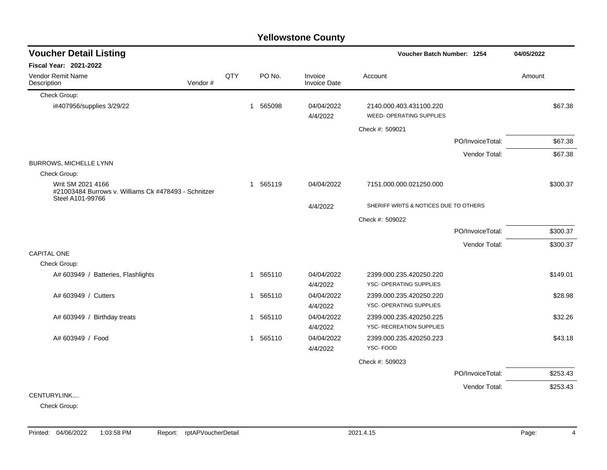|                                                                                               |         |     |              |          | <b>Yellowstone County</b>      |                                                     |                  |            |         |
|-----------------------------------------------------------------------------------------------|---------|-----|--------------|----------|--------------------------------|-----------------------------------------------------|------------------|------------|---------|
| <b>Voucher Detail Listing</b>                                                                 |         |     |              |          |                                | Voucher Batch Number: 1254                          |                  | 04/05/2022 |         |
| <b>Fiscal Year: 2021-2022</b>                                                                 |         |     |              |          |                                |                                                     |                  |            |         |
| Vendor Remit Name<br>Description                                                              | Vendor# | QTY |              | PO No.   | Invoice<br><b>Invoice Date</b> | Account                                             |                  | Amount     |         |
| Check Group:                                                                                  |         |     |              |          |                                |                                                     |                  |            |         |
| i#407956/supplies 3/29/22                                                                     |         |     |              | 1 565098 | 04/04/2022<br>4/4/2022         | 2140.000.403.431100.220<br>WEED- OPERATING SUPPLIES |                  |            | \$67.38 |
|                                                                                               |         |     |              |          |                                | Check #: 509021                                     |                  |            |         |
|                                                                                               |         |     |              |          |                                |                                                     | PO/InvoiceTotal: |            | \$67.38 |
|                                                                                               |         |     |              |          |                                |                                                     | Vendor Total:    |            | \$67.38 |
| BURROWS, MICHELLE LYNN                                                                        |         |     |              |          |                                |                                                     |                  |            |         |
| Check Group:                                                                                  |         |     |              |          |                                |                                                     |                  |            |         |
| Writ SM 2021 4166<br>#21003484 Burrows v. Williams Ck #478493 - Schnitzer<br>Steel A101-99766 |         |     |              | 1 565119 | 04/04/2022                     | 7151.000.000.021250.000                             |                  | \$300.37   |         |
|                                                                                               |         |     |              |          | 4/4/2022                       | SHERIFF WRITS & NOTICES DUE TO OTHERS               |                  |            |         |
|                                                                                               |         |     |              |          |                                | Check #: 509022                                     |                  |            |         |
|                                                                                               |         |     |              |          |                                |                                                     | PO/InvoiceTotal: | \$300.37   |         |
|                                                                                               |         |     |              |          |                                |                                                     | Vendor Total:    | \$300.37   |         |
| <b>CAPITAL ONE</b>                                                                            |         |     |              |          |                                |                                                     |                  |            |         |
| Check Group:                                                                                  |         |     |              |          |                                |                                                     |                  |            |         |
| A# 603949 / Batteries, Flashlights                                                            |         |     |              | 1 565110 | 04/04/2022<br>4/4/2022         | 2399.000.235.420250.220<br>YSC- OPERATING SUPPLIES  |                  | \$149.01   |         |
| A# 603949 / Cutters                                                                           |         |     |              | 1 565110 | 04/04/2022<br>4/4/2022         | 2399.000.235.420250.220<br>YSC- OPERATING SUPPLIES  |                  |            | \$28.98 |
| A# 603949 / Birthday treats                                                                   |         |     | $\mathbf{1}$ | 565110   | 04/04/2022                     | 2399.000.235.420250.225                             |                  |            | \$32.26 |
|                                                                                               |         |     |              |          | 4/4/2022                       | <b>YSC- RECREATION SUPPLIES</b>                     |                  |            |         |
| A# 603949 / Food                                                                              |         |     |              | 1 565110 | 04/04/2022                     | 2399.000.235.420250.223                             |                  |            | \$43.18 |
|                                                                                               |         |     |              |          | 4/4/2022                       | YSC-FOOD                                            |                  |            |         |
|                                                                                               |         |     |              |          |                                | Check #: 509023                                     |                  |            |         |
|                                                                                               |         |     |              |          |                                |                                                     | PO/InvoiceTotal: | \$253.43   |         |
|                                                                                               |         |     |              |          |                                |                                                     | Vendor Total:    | \$253.43   |         |
| CENTURYLINK                                                                                   |         |     |              |          |                                |                                                     |                  |            |         |
| $Q_{\text{max}}$ and $Q_{\text{max}}$                                                         |         |     |              |          |                                |                                                     |                  |            |         |

Check Group: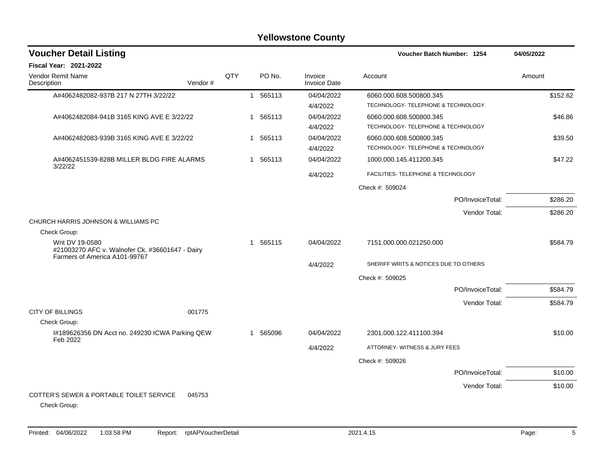| <b>Voucher Detail Listing</b>                                                                       |         |     |          |                         | Voucher Batch Number: 1254            | 04/05/2022 |
|-----------------------------------------------------------------------------------------------------|---------|-----|----------|-------------------------|---------------------------------------|------------|
| Fiscal Year: 2021-2022                                                                              |         |     |          |                         |                                       |            |
| <b>Vendor Remit Name</b><br>Description                                                             | Vendor# | QTY | PO No.   | Invoice<br>Invoice Date | Account                               | Amount     |
| A#4062482082-937B 217 N 27TH 3/22/22                                                                |         |     | 1 565113 | 04/04/2022              | 6060.000.608.500800.345               | \$152.62   |
|                                                                                                     |         |     |          | 4/4/2022                | TECHNOLOGY- TELEPHONE & TECHNOLOGY    |            |
| A#4062482084-941B 3165 KING AVE E 3/22/22                                                           |         |     | 1 565113 | 04/04/2022              | 6060.000.608.500800.345               | \$46.86    |
|                                                                                                     |         |     |          | 4/4/2022                | TECHNOLOGY- TELEPHONE & TECHNOLOGY    |            |
| A#4062482083-939B 3165 KING AVE E 3/22/22                                                           |         |     | 1 565113 | 04/04/2022              | 6060.000.608.500800.345               | \$39.50    |
|                                                                                                     |         |     |          | 4/4/2022                | TECHNOLOGY- TELEPHONE & TECHNOLOGY    |            |
| A#4062451539-828B MILLER BLDG FIRE ALARMS<br>3/22/22                                                |         |     | 1 565113 | 04/04/2022              | 1000.000.145.411200.345               | \$47.22    |
|                                                                                                     |         |     |          | 4/4/2022                | FACILITIES- TELEPHONE & TECHNOLOGY    |            |
|                                                                                                     |         |     |          |                         | Check #: 509024                       |            |
|                                                                                                     |         |     |          |                         | PO/InvoiceTotal:                      | \$286.20   |
|                                                                                                     |         |     |          |                         | Vendor Total:                         | \$286.20   |
| CHURCH HARRIS JOHNSON & WILLIAMS PC                                                                 |         |     |          |                         |                                       |            |
| Check Group:                                                                                        |         |     |          |                         |                                       |            |
| Writ DV 19-0580<br>#21003270 AFC v. Walnofer Ck. #36601647 - Dairy<br>Farmers of America A101-99767 |         |     | 1 565115 | 04/04/2022              | 7151.000.000.021250.000               | \$584.79   |
|                                                                                                     |         |     |          | 4/4/2022                | SHERIFF WRITS & NOTICES DUE TO OTHERS |            |
|                                                                                                     |         |     |          |                         | Check #: 509025                       |            |
|                                                                                                     |         |     |          |                         | PO/InvoiceTotal:                      | \$584.79   |
|                                                                                                     |         |     |          |                         | Vendor Total:                         | \$584.79   |
| <b>CITY OF BILLINGS</b>                                                                             | 001775  |     |          |                         |                                       |            |
| Check Group:                                                                                        |         |     |          |                         |                                       |            |
| I#189626356 DN Acct no. 249230 ICWA Parking QEW<br>Feb 2022                                         |         |     | 1 565096 | 04/04/2022              | 2301.000.122.411100.394               | \$10.00    |
|                                                                                                     |         |     |          | 4/4/2022                | ATTORNEY- WITNESS & JURY FEES         |            |
|                                                                                                     |         |     |          |                         | Check #: 509026                       |            |
|                                                                                                     |         |     |          |                         | PO/InvoiceTotal:                      | \$10.00    |
|                                                                                                     |         |     |          |                         | Vendor Total:                         | \$10.00    |
| COTTER'S SEWER & PORTABLE TOILET SERVICE<br>Check Group:                                            | 045753  |     |          |                         |                                       |            |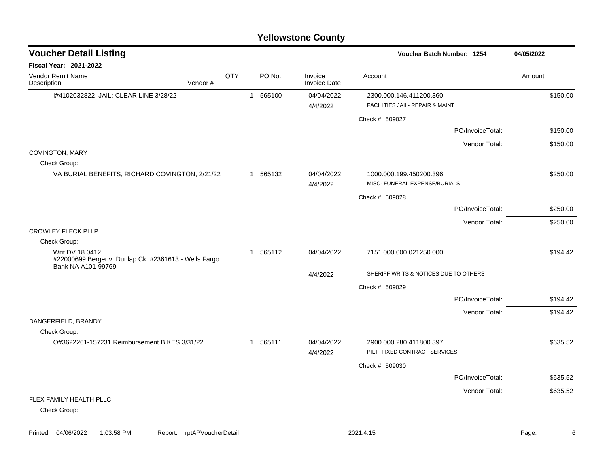|                                                                                                |          |     |                |          | <b>Yellowstone County</b>      |                                                            |                  |            |
|------------------------------------------------------------------------------------------------|----------|-----|----------------|----------|--------------------------------|------------------------------------------------------------|------------------|------------|
| <b>Voucher Detail Listing</b>                                                                  |          |     |                |          |                                | Voucher Batch Number: 1254                                 |                  | 04/05/2022 |
| Fiscal Year: 2021-2022                                                                         |          |     |                |          |                                |                                                            |                  |            |
| Vendor Remit Name<br>Description                                                               | Vendor # | QTY |                | PO No.   | Invoice<br><b>Invoice Date</b> | Account                                                    |                  | Amount     |
| I#4102032822; JAIL; CLEAR LINE 3/28/22                                                         |          |     |                | 1 565100 | 04/04/2022<br>4/4/2022         | 2300.000.146.411200.360<br>FACILITIES JAIL- REPAIR & MAINT |                  | \$150.00   |
|                                                                                                |          |     |                |          |                                | Check #: 509027                                            |                  |            |
|                                                                                                |          |     |                |          |                                |                                                            | PO/InvoiceTotal: | \$150.00   |
|                                                                                                |          |     |                |          |                                |                                                            | Vendor Total:    | \$150.00   |
| COVINGTON, MARY<br>Check Group:                                                                |          |     |                |          |                                |                                                            |                  |            |
| VA BURIAL BENEFITS, RICHARD COVINGTON, 2/21/22                                                 |          |     |                | 1 565132 | 04/04/2022<br>4/4/2022         | 1000.000.199.450200.396<br>MISC- FUNERAL EXPENSE/BURIALS   |                  | \$250.00   |
|                                                                                                |          |     |                |          |                                | Check #: 509028                                            |                  |            |
|                                                                                                |          |     |                |          |                                |                                                            | PO/InvoiceTotal: | \$250.00   |
|                                                                                                |          |     |                |          |                                |                                                            | Vendor Total:    | \$250.00   |
| <b>CROWLEY FLECK PLLP</b>                                                                      |          |     |                |          |                                |                                                            |                  |            |
| Check Group:                                                                                   |          |     |                |          |                                |                                                            |                  |            |
| Writ DV 18 0412<br>#22000699 Berger v. Dunlap Ck. #2361613 - Wells Fargo<br>Bank NA A101-99769 |          |     |                | 1 565112 | 04/04/2022                     | 7151.000.000.021250.000                                    |                  | \$194.42   |
|                                                                                                |          |     |                |          | 4/4/2022                       | SHERIFF WRITS & NOTICES DUE TO OTHERS                      |                  |            |
|                                                                                                |          |     |                |          |                                | Check #: 509029                                            |                  |            |
|                                                                                                |          |     |                |          |                                |                                                            | PO/InvoiceTotal: | \$194.42   |
|                                                                                                |          |     |                |          |                                |                                                            | Vendor Total:    | \$194.42   |
| DANGERFIELD, BRANDY                                                                            |          |     |                |          |                                |                                                            |                  |            |
| Check Group:<br>O#3622261-157231 Reimbursement BIKES 3/31/22                                   |          |     | $\overline{1}$ |          | 04/04/2022                     |                                                            |                  |            |
|                                                                                                |          |     |                | 565111   | 4/4/2022                       | 2900.000.280.411800.397<br>PILT- FIXED CONTRACT SERVICES   |                  | \$635.52   |
|                                                                                                |          |     |                |          |                                | Check #: 509030                                            |                  |            |
|                                                                                                |          |     |                |          |                                |                                                            | PO/InvoiceTotal: | \$635.52   |
|                                                                                                |          |     |                |          |                                |                                                            | Vendor Total:    | \$635.52   |
| FLEX FAMILY HEALTH PLLC                                                                        |          |     |                |          |                                |                                                            |                  |            |
| Check Group:                                                                                   |          |     |                |          |                                |                                                            |                  |            |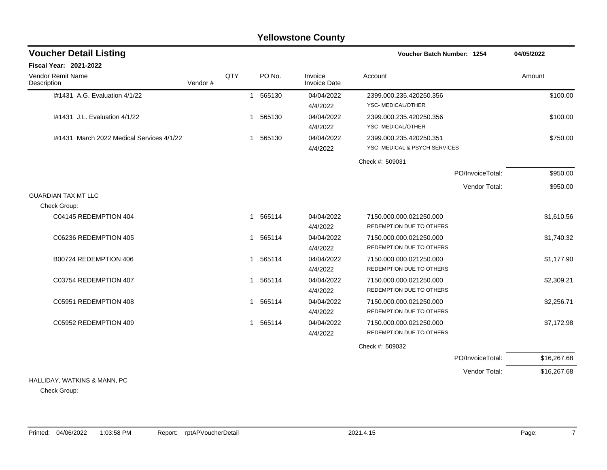### I#1431 A.G. Evaluation 4/1/22 1 565130 1 565130 04/04/2022 2399.000.235.420250.356 4/4/2022 YSC- MEDICAL/OTHER I#1431 J.L. Evaluation 4/1/22 1 565130 1 565130 04/04/2022 2399.000.235.420250.356 \$100.00 4/4/2022 YSC- MEDICAL/OTHER I#1431 March 2022 Medical Services 4/1/22 1 565130 04/04/2022 2399.000.235.420250.351 \$750.00 4/4/2022 YSC- MEDICAL & PSYCH SERVICES Check #: 509031 PO/InvoiceTotal: \$950.00 Vendor Total: \$950.00 GUARDIAN TAX MT LLC Check Group: C04145 REDEMPTION 404 **1 565114** 04/04/2022 7150.000.000.021250.000 **61 1610.56** \$1,610.56 4/4/2022 REDEMPTION DUE TO OTHERS C06236 REDEMPTION 405 **1 565114** 04/04/2022 7150.000.000.021250.000 **11 565114** 04/04/2022 7150.000 4/4/2022 REDEMPTION DUE TO OTHERS B00724 REDEMPTION 406 6 04/04/2022 1 565114 04/04/2022 7150.000.000.021250.000 1 51,177.90 4/4/2022 REDEMPTION DUE TO OTHERS C03754 REDEMPTION 407 \$2.309.21 1 565114 04/04/2022 7150.000.000.021250.000 621250.000 \$2.309.21 4/4/2022 REDEMPTION DUE TO OTHERS C05951 REDEMPTION 408 **1 565114** 04/04/2022 7150.000.000.021250.000 **1 56.71** \$2,256.71 4/4/2022 REDEMPTION DUE TO OTHERS C05952 REDEMPTION 409 **1 565114** 04/04/2022 7150.000.000.021250.000 **1 565112.98** 57,172.98 4/4/2022 REDEMPTION DUE TO OTHERS Check #: 509032 PO/InvoiceTotal: \$16,267.68 Vendor Total: \$16,267.68 **Voucher Batch Number: Yellowstone County** Vendor Remit Name **Description Voucher Detail Listing Fiscal Year: 2021-2022 1254 04/05/2022** PO No. Invoice Account Amount Amount Amount Amount Vendor # **QTY** Invoice Date

### HALLIDAY, WATKINS & MANN, PC

Check Group: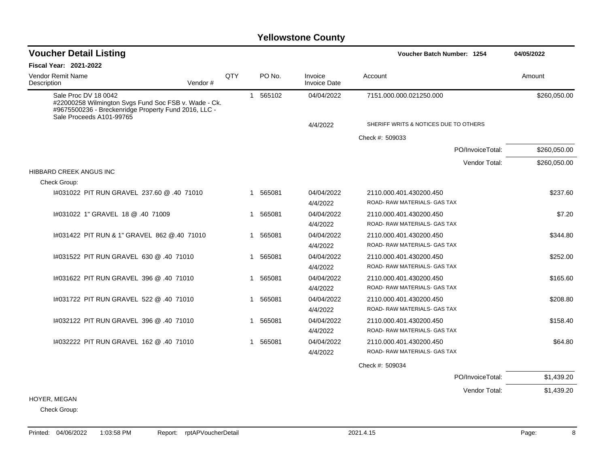| <b>Voucher Detail Listing</b>                                                                                                                                    |     |                        |                                | Voucher Batch Number: 1254            | 04/05/2022   |  |
|------------------------------------------------------------------------------------------------------------------------------------------------------------------|-----|------------------------|--------------------------------|---------------------------------------|--------------|--|
| <b>Fiscal Year: 2021-2022</b>                                                                                                                                    |     |                        |                                |                                       |              |  |
| <b>Vendor Remit Name</b><br>Description<br>Vendor#                                                                                                               | QTY | PO No.                 | Invoice<br><b>Invoice Date</b> | Account                               | Amount       |  |
| Sale Proc DV 18 0042<br>#22000258 Wilmington Svgs Fund Soc FSB v. Wade - Ck.<br>#9675500236 - Breckenridge Property Fund 2016, LLC -<br>Sale Proceeds A101-99765 |     | 1 565102               | 04/04/2022                     | 7151.000.000.021250.000               | \$260,050.00 |  |
|                                                                                                                                                                  |     |                        | 4/4/2022                       | SHERIFF WRITS & NOTICES DUE TO OTHERS |              |  |
|                                                                                                                                                                  |     |                        |                                | Check #: 509033                       |              |  |
|                                                                                                                                                                  |     |                        |                                | PO/InvoiceTotal:                      | \$260,050.00 |  |
|                                                                                                                                                                  |     |                        |                                | Vendor Total:                         | \$260,050.00 |  |
| <b>HIBBARD CREEK ANGUS INC</b>                                                                                                                                   |     |                        |                                |                                       |              |  |
| Check Group:                                                                                                                                                     |     |                        |                                |                                       |              |  |
| 1#031022 PIT RUN GRAVEL 237.60 @ .40 71010                                                                                                                       |     | 1 565081               | 04/04/2022                     | 2110.000.401.430200.450               | \$237.60     |  |
|                                                                                                                                                                  |     |                        | 4/4/2022                       | ROAD-RAW MATERIALS- GAS TAX           |              |  |
| 1#031022 1" GRAVEL 18 @ .40 71009                                                                                                                                |     | 1 565081               | 04/04/2022                     | 2110.000.401.430200.450               | \$7.20       |  |
|                                                                                                                                                                  |     |                        | 4/4/2022                       | ROAD- RAW MATERIALS- GAS TAX          |              |  |
| #031422 PIT RUN & 1" GRAVEL 862 @.40 71010                                                                                                                       |     | 565081<br>$\mathbf{1}$ | 04/04/2022                     | 2110.000.401.430200.450               | \$344.80     |  |
|                                                                                                                                                                  |     |                        | 4/4/2022                       | ROAD- RAW MATERIALS- GAS TAX          |              |  |
| 14031522 PIT RUN GRAVEL 630 @ .40 71010                                                                                                                          |     | 565081<br>1            | 04/04/2022                     | 2110.000.401.430200.450               | \$252.00     |  |
|                                                                                                                                                                  |     |                        | 4/4/2022                       | ROAD- RAW MATERIALS- GAS TAX          |              |  |
| 1#031622 PIT RUN GRAVEL 396 @ .40 71010                                                                                                                          |     | 1 565081               | 04/04/2022                     | 2110.000.401.430200.450               | \$165.60     |  |
|                                                                                                                                                                  |     |                        | 4/4/2022                       | ROAD- RAW MATERIALS- GAS TAX          |              |  |
| 14031722 PIT RUN GRAVEL 522 @ .40 71010                                                                                                                          |     | 565081<br>1            | 04/04/2022                     | 2110.000.401.430200.450               | \$208.80     |  |
|                                                                                                                                                                  |     |                        | 4/4/2022                       | ROAD- RAW MATERIALS- GAS TAX          |              |  |
| 1#032122 PIT RUN GRAVEL 396 @ .40 71010                                                                                                                          |     | 565081<br>1            | 04/04/2022                     | 2110.000.401.430200.450               | \$158.40     |  |
|                                                                                                                                                                  |     |                        | 4/4/2022                       | ROAD- RAW MATERIALS- GAS TAX          |              |  |
| 1#032222 PIT RUN GRAVEL 162 @ .40 71010                                                                                                                          |     | 1 565081               | 04/04/2022                     | 2110.000.401.430200.450               | \$64.80      |  |
|                                                                                                                                                                  |     |                        | 4/4/2022                       | ROAD- RAW MATERIALS- GAS TAX          |              |  |
|                                                                                                                                                                  |     |                        |                                | Check #: 509034                       |              |  |
|                                                                                                                                                                  |     |                        |                                | PO/InvoiceTotal:                      | \$1,439.20   |  |
|                                                                                                                                                                  |     |                        |                                | Vendor Total:                         | \$1,439.20   |  |
| HOYER, MEGAN                                                                                                                                                     |     |                        |                                |                                       |              |  |
| Check Group:                                                                                                                                                     |     |                        |                                |                                       |              |  |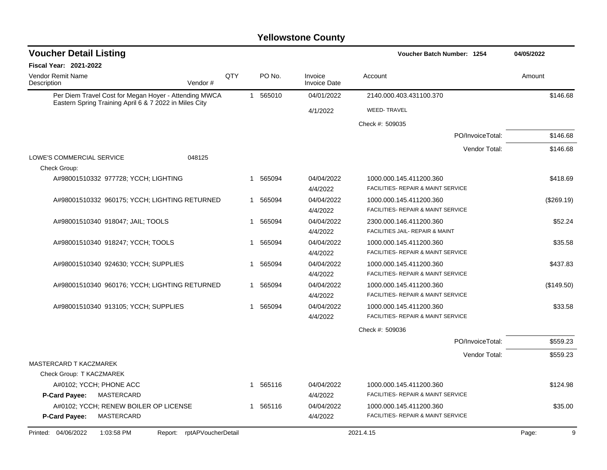| <b>Voucher Detail Listing</b>                                                                                   |                            |     |             |                                | <b>Voucher Batch Number: 1254</b>             | 04/05/2022 |
|-----------------------------------------------------------------------------------------------------------------|----------------------------|-----|-------------|--------------------------------|-----------------------------------------------|------------|
| <b>Fiscal Year: 2021-2022</b>                                                                                   |                            |     |             |                                |                                               |            |
| Vendor Remit Name<br>Description                                                                                | Vendor#                    | QTY | PO No.      | Invoice<br><b>Invoice Date</b> | Account                                       | Amount     |
| Per Diem Travel Cost for Megan Hoyer - Attending MWCA<br>Eastern Spring Training April 6 & 7 2022 in Miles City |                            |     | 1 565010    | 04/01/2022                     | 2140.000.403.431100.370                       | \$146.68   |
|                                                                                                                 |                            |     |             | 4/1/2022                       | <b>WEED-TRAVEL</b>                            |            |
|                                                                                                                 |                            |     |             |                                | Check #: 509035                               |            |
|                                                                                                                 |                            |     |             |                                | PO/InvoiceTotal:                              | \$146.68   |
|                                                                                                                 |                            |     |             |                                | Vendor Total:                                 | \$146.68   |
| LOWE'S COMMERCIAL SERVICE                                                                                       | 048125                     |     |             |                                |                                               |            |
| Check Group:                                                                                                    |                            |     |             |                                |                                               |            |
| A#98001510332 977728; YCCH; LIGHTING                                                                            |                            |     | 565094<br>1 | 04/04/2022                     | 1000.000.145.411200.360                       | \$418.69   |
|                                                                                                                 |                            |     |             | 4/4/2022                       | FACILITIES- REPAIR & MAINT SERVICE            |            |
| A#98001510332 960175; YCCH; LIGHTING RETURNED                                                                   |                            |     | 1 565094    | 04/04/2022                     | 1000.000.145.411200.360                       | (\$269.19) |
|                                                                                                                 |                            |     |             | 4/4/2022                       | FACILITIES- REPAIR & MAINT SERVICE            |            |
| A#98001510340 918047; JAIL; TOOLS                                                                               |                            |     | 1 565094    | 04/04/2022                     | 2300.000.146.411200.360                       | \$52.24    |
|                                                                                                                 |                            |     |             | 4/4/2022                       | FACILITIES JAIL- REPAIR & MAINT               |            |
| A#98001510340 918247; YCCH; TOOLS                                                                               |                            |     | 565094<br>1 | 04/04/2022                     | 1000.000.145.411200.360                       | \$35.58    |
|                                                                                                                 |                            |     |             | 4/4/2022                       | <b>FACILITIES- REPAIR &amp; MAINT SERVICE</b> |            |
| A#98001510340 924630; YCCH; SUPPLIES                                                                            |                            |     | 1 565094    | 04/04/2022                     | 1000.000.145.411200.360                       | \$437.83   |
|                                                                                                                 |                            |     |             | 4/4/2022                       | FACILITIES- REPAIR & MAINT SERVICE            |            |
| A#98001510340 960176; YCCH; LIGHTING RETURNED                                                                   |                            |     | 1 565094    | 04/04/2022                     | 1000.000.145.411200.360                       | (\$149.50) |
|                                                                                                                 |                            |     |             | 4/4/2022                       | FACILITIES- REPAIR & MAINT SERVICE            |            |
| A#98001510340 913105; YCCH; SUPPLIES                                                                            |                            |     | 1 565094    | 04/04/2022                     | 1000.000.145.411200.360                       | \$33.58    |
|                                                                                                                 |                            |     |             | 4/4/2022                       | FACILITIES- REPAIR & MAINT SERVICE            |            |
|                                                                                                                 |                            |     |             |                                | Check #: 509036                               |            |
|                                                                                                                 |                            |     |             |                                | PO/InvoiceTotal:                              | \$559.23   |
|                                                                                                                 |                            |     |             |                                | Vendor Total:                                 | \$559.23   |
| <b>MASTERCARD T KACZMAREK</b>                                                                                   |                            |     |             |                                |                                               |            |
| Check Group: T KACZMAREK                                                                                        |                            |     |             |                                |                                               |            |
| A#0102; YCCH; PHONE ACC                                                                                         |                            |     | 1 565116    | 04/04/2022                     | 1000.000.145.411200.360                       | \$124.98   |
| <b>P-Card Payee:</b><br>MASTERCARD                                                                              |                            |     |             | 4/4/2022                       | FACILITIES- REPAIR & MAINT SERVICE            |            |
| A#0102; YCCH; RENEW BOILER OP LICENSE                                                                           |                            |     | 1 565116    | 04/04/2022                     | 1000.000.145.411200.360                       | \$35.00    |
| <b>P-Card Payee:</b><br>MASTERCARD                                                                              |                            |     |             | 4/4/2022                       | <b>FACILITIES- REPAIR &amp; MAINT SERVICE</b> |            |
| Printed: 04/06/2022<br>1:03:58 PM                                                                               | Report: rptAPVoucherDetail |     |             |                                | 2021.4.15                                     | 9<br>Page: |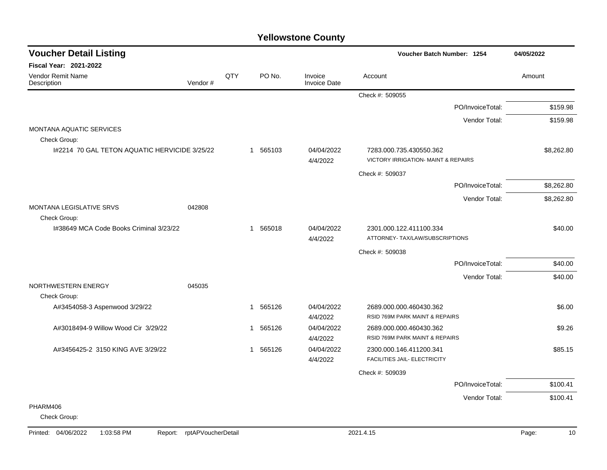| <b>Voucher Detail Listing</b>                 |         |     |              |                                | Voucher Batch Number: 1254                                                |                  | 04/05/2022 |
|-----------------------------------------------|---------|-----|--------------|--------------------------------|---------------------------------------------------------------------------|------------------|------------|
| <b>Fiscal Year: 2021-2022</b>                 |         |     |              |                                |                                                                           |                  |            |
| Vendor Remit Name<br>Description              | Vendor# | QTY | PO No.       | Invoice<br><b>Invoice Date</b> | Account                                                                   |                  | Amount     |
|                                               |         |     |              |                                | Check #: 509055                                                           |                  |            |
|                                               |         |     |              |                                |                                                                           | PO/InvoiceTotal: | \$159.98   |
|                                               |         |     |              |                                |                                                                           | Vendor Total:    | \$159.98   |
| <b>MONTANA AQUATIC SERVICES</b>               |         |     |              |                                |                                                                           |                  |            |
| Check Group:                                  |         |     |              |                                |                                                                           |                  |            |
| 1#2214 70 GAL TETON AQUATIC HERVICIDE 3/25/22 |         |     | 1 565103     | 04/04/2022<br>4/4/2022         | 7283.000.735.430550.362<br><b>VICTORY IRRIGATION- MAINT &amp; REPAIRS</b> |                  | \$8,262.80 |
|                                               |         |     |              |                                | Check #: 509037                                                           |                  |            |
|                                               |         |     |              |                                |                                                                           | PO/InvoiceTotal: | \$8,262.80 |
|                                               |         |     |              |                                |                                                                           | Vendor Total:    | \$8,262.80 |
| MONTANA LEGISLATIVE SRVS<br>Check Group:      | 042808  |     |              |                                |                                                                           |                  |            |
| 1#38649 MCA Code Books Criminal 3/23/22       |         |     | 565018<br>1  | 04/04/2022                     | 2301.000.122.411100.334                                                   |                  | \$40.00    |
|                                               |         |     |              | 4/4/2022                       | ATTORNEY- TAX/LAW/SUBSCRIPTIONS                                           |                  |            |
|                                               |         |     |              |                                | Check #: 509038                                                           |                  |            |
|                                               |         |     |              |                                |                                                                           | PO/InvoiceTotal: | \$40.00    |
|                                               |         |     |              |                                |                                                                           | Vendor Total:    | \$40.00    |
| NORTHWESTERN ENERGY                           | 045035  |     |              |                                |                                                                           |                  |            |
| Check Group:                                  |         |     |              |                                |                                                                           |                  |            |
| A#3454058-3 Aspenwood 3/29/22                 |         |     | 565126<br>-1 | 04/04/2022<br>4/4/2022         | 2689.000.000.460430.362<br>RSID 769M PARK MAINT & REPAIRS                 |                  | \$6.00     |
| A#3018494-9 Willow Wood Cir 3/29/22           |         |     | 565126<br>1  | 04/04/2022                     | 2689.000.000.460430.362                                                   |                  | \$9.26     |
|                                               |         |     |              | 4/4/2022                       | RSID 769M PARK MAINT & REPAIRS                                            |                  |            |
| A#3456425-2 3150 KING AVE 3/29/22             |         |     | 565126<br>-1 | 04/04/2022                     | 2300.000.146.411200.341                                                   |                  | \$85.15    |
|                                               |         |     |              | 4/4/2022                       | FACILITIES JAIL- ELECTRICITY                                              |                  |            |
|                                               |         |     |              |                                | Check #: 509039                                                           |                  |            |
|                                               |         |     |              |                                |                                                                           | PO/InvoiceTotal: | \$100.41   |
|                                               |         |     |              |                                |                                                                           | Vendor Total:    | \$100.41   |
| PHARM406                                      |         |     |              |                                |                                                                           |                  |            |
| Check Group:                                  |         |     |              |                                |                                                                           |                  |            |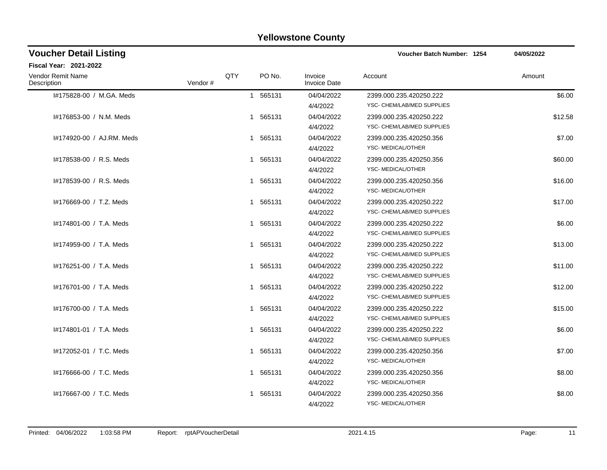| <b>Voucher Detail Listing</b>    |         |     |             |                                | <b>Voucher Batch Number: 1254</b>                     | 04/05/2022 |
|----------------------------------|---------|-----|-------------|--------------------------------|-------------------------------------------------------|------------|
| <b>Fiscal Year: 2021-2022</b>    |         |     |             |                                |                                                       |            |
| Vendor Remit Name<br>Description | Vendor# | QTY | PO No.      | Invoice<br><b>Invoice Date</b> | Account                                               | Amount     |
| #175828-00 / M.GA. Meds          |         |     | 1 565131    | 04/04/2022<br>4/4/2022         | 2399.000.235.420250.222<br>YSC- CHEM/LAB/MED SUPPLIES | \$6.00     |
| #176853-00 / N.M. Meds           |         |     | 1 565131    | 04/04/2022<br>4/4/2022         | 2399.000.235.420250.222<br>YSC- CHEM/LAB/MED SUPPLIES | \$12.58    |
| 1#174920-00 / AJ.RM. Meds        |         |     | 1 565131    | 04/04/2022<br>4/4/2022         | 2399.000.235.420250.356<br>YSC- MEDICAL/OTHER         | \$7.00     |
| #178538-00 / R.S. Meds           |         |     | 1 565131    | 04/04/2022<br>4/4/2022         | 2399.000.235.420250.356<br>YSC-MEDICAL/OTHER          | \$60.00    |
| #178539-00 / R.S. Meds           |         |     | 1 565131    | 04/04/2022<br>4/4/2022         | 2399.000.235.420250.356<br>YSC-MEDICAL/OTHER          | \$16.00    |
| #176669-00 / T.Z. Meds           |         |     | 1 565131    | 04/04/2022<br>4/4/2022         | 2399.000.235.420250.222<br>YSC- CHEM/LAB/MED SUPPLIES | \$17.00    |
| I#174801-00 / T.A. Meds          |         |     | 1 565131    | 04/04/2022<br>4/4/2022         | 2399.000.235.420250.222<br>YSC- CHEM/LAB/MED SUPPLIES | \$6.00     |
| I#174959-00 / T.A. Meds          |         |     | 1 565131    | 04/04/2022<br>4/4/2022         | 2399.000.235.420250.222<br>YSC- CHEM/LAB/MED SUPPLIES | \$13.00    |
| I#176251-00 / T.A. Meds          |         |     | 1 565131    | 04/04/2022<br>4/4/2022         | 2399.000.235.420250.222<br>YSC- CHEM/LAB/MED SUPPLIES | \$11.00    |
| #176701-00 / T.A. Meds           |         |     | 1 565131    | 04/04/2022<br>4/4/2022         | 2399.000.235.420250.222<br>YSC- CHEM/LAB/MED SUPPLIES | \$12.00    |
| #176700-00 / T.A. Meds           |         |     | 1 565131    | 04/04/2022<br>4/4/2022         | 2399.000.235.420250.222<br>YSC- CHEM/LAB/MED SUPPLIES | \$15.00    |
| #174801-01 / T.A. Meds           |         |     | 1 565131    | 04/04/2022<br>4/4/2022         | 2399.000.235.420250.222<br>YSC- CHEM/LAB/MED SUPPLIES | \$6.00     |
| I#172052-01 / T.C. Meds          |         |     | 1 565131    | 04/04/2022<br>4/4/2022         | 2399.000.235.420250.356<br>YSC-MEDICAL/OTHER          | \$7.00     |
| #176666-00 / T.C. Meds           |         |     | 1 565131    | 04/04/2022<br>4/4/2022         | 2399.000.235.420250.356<br>YSC-MEDICAL/OTHER          | \$8.00     |
| #176667-00 / T.C. Meds           |         |     | 565131<br>1 | 04/04/2022<br>4/4/2022         | 2399.000.235.420250.356<br>YSC- MEDICAL/OTHER         | \$8.00     |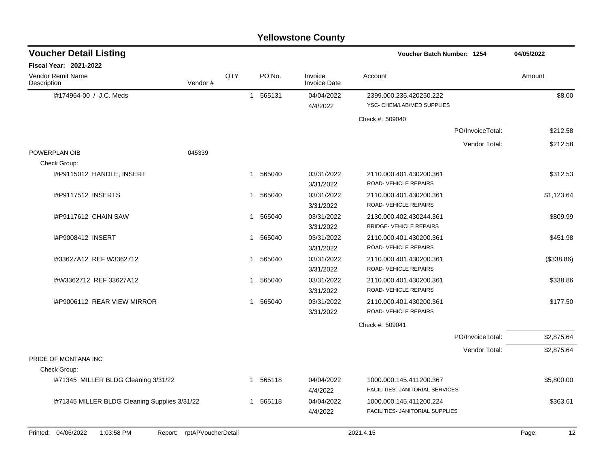|                                                                 |              |        | <b>Yellowstone County</b>      |                                                 |                  |             |
|-----------------------------------------------------------------|--------------|--------|--------------------------------|-------------------------------------------------|------------------|-------------|
| <b>Voucher Detail Listing</b>                                   |              |        |                                | Voucher Batch Number: 1254                      |                  | 04/05/2022  |
| <b>Fiscal Year: 2021-2022</b>                                   |              |        |                                |                                                 |                  |             |
| Vendor Remit Name<br>QTY<br>Vendor#<br>Description              |              | PO No. | Invoice<br><b>Invoice Date</b> | Account                                         |                  | Amount      |
| I#174964-00 / J.C. Meds                                         | $\mathbf{1}$ | 565131 | 04/04/2022                     | 2399.000.235.420250.222                         |                  | \$8.00      |
|                                                                 |              |        | 4/4/2022                       | YSC- CHEM/LAB/MED SUPPLIES                      |                  |             |
|                                                                 |              |        |                                | Check #: 509040                                 |                  |             |
|                                                                 |              |        |                                |                                                 | PO/InvoiceTotal: | \$212.58    |
|                                                                 |              |        |                                |                                                 | Vendor Total:    | \$212.58    |
| POWERPLAN OIB<br>045339                                         |              |        |                                |                                                 |                  |             |
| Check Group:                                                    |              |        |                                |                                                 |                  |             |
| I#P9115012 HANDLE, INSERT                                       | 1            | 565040 | 03/31/2022                     | 2110.000.401.430200.361                         |                  | \$312.53    |
|                                                                 |              |        | 3/31/2022                      | ROAD-VEHICLE REPAIRS                            |                  |             |
| I#P9117512 INSERTS                                              | 1            | 565040 | 03/31/2022                     | 2110.000.401.430200.361                         |                  | \$1,123.64  |
|                                                                 |              |        | 3/31/2022                      | <b>ROAD- VEHICLE REPAIRS</b>                    |                  |             |
| <b>I#P9117612 CHAIN SAW</b>                                     | 1            | 565040 | 03/31/2022                     | 2130.000.402.430244.361                         |                  | \$809.99    |
|                                                                 |              |        | 3/31/2022                      | <b>BRIDGE- VEHICLE REPAIRS</b>                  |                  |             |
| I#P9008412 INSERT                                               | 1            | 565040 | 03/31/2022                     | 2110.000.401.430200.361<br>ROAD-VEHICLE REPAIRS |                  | \$451.98    |
| I#33627A12 REF W3362712                                         | 1            |        | 3/31/2022<br>03/31/2022        |                                                 |                  |             |
|                                                                 |              | 565040 | 3/31/2022                      | 2110.000.401.430200.361<br>ROAD-VEHICLE REPAIRS |                  | (\$338.86)  |
| I#W3362712 REF 33627A12                                         | 1            | 565040 | 03/31/2022                     | 2110.000.401.430200.361                         |                  | \$338.86    |
|                                                                 |              |        | 3/31/2022                      | <b>ROAD- VEHICLE REPAIRS</b>                    |                  |             |
| I#P9006112 REAR VIEW MIRROR                                     | 1            | 565040 | 03/31/2022                     | 2110.000.401.430200.361                         |                  | \$177.50    |
|                                                                 |              |        | 3/31/2022                      | ROAD-VEHICLE REPAIRS                            |                  |             |
|                                                                 |              |        |                                | Check #: 509041                                 |                  |             |
|                                                                 |              |        |                                |                                                 | PO/InvoiceTotal: | \$2,875.64  |
|                                                                 |              |        |                                |                                                 | Vendor Total:    | \$2,875.64  |
| PRIDE OF MONTANA INC                                            |              |        |                                |                                                 |                  |             |
| Check Group:                                                    |              |        |                                |                                                 |                  |             |
| I#71345 MILLER BLDG Cleaning 3/31/22                            | $\mathbf 1$  | 565118 | 04/04/2022                     | 1000.000.145.411200.367                         |                  | \$5,800.00  |
|                                                                 |              |        | 4/4/2022                       | FACILITIES- JANITORIAL SERVICES                 |                  |             |
| I#71345 MILLER BLDG Cleaning Supplies 3/31/22                   | 1            | 565118 | 04/04/2022                     | 1000.000.145.411200.224                         |                  | \$363.61    |
|                                                                 |              |        | 4/4/2022                       | FACILITIES- JANITORIAL SUPPLIES                 |                  |             |
| Printed: 04/06/2022<br>1:03:58 PM<br>Report: rptAPVoucherDetail |              |        |                                | 2021.4.15                                       |                  | 12<br>Page: |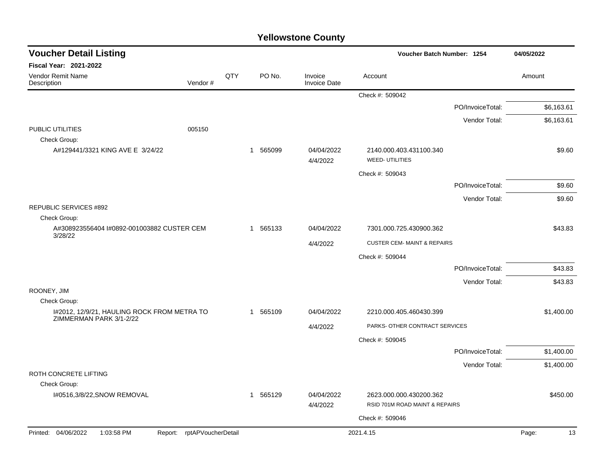| <b>Voucher Detail Listing</b>                                          |     |              |          |                                | Voucher Batch Number: 1254                                | 04/05/2022       |             |
|------------------------------------------------------------------------|-----|--------------|----------|--------------------------------|-----------------------------------------------------------|------------------|-------------|
| Fiscal Year: 2021-2022                                                 |     |              |          |                                |                                                           |                  |             |
| <b>Vendor Remit Name</b><br>Description<br>Vendor#                     | QTY |              | PO No.   | Invoice<br><b>Invoice Date</b> | Account                                                   |                  | Amount      |
|                                                                        |     |              |          |                                | Check #: 509042                                           |                  |             |
|                                                                        |     |              |          |                                |                                                           | PO/InvoiceTotal: | \$6,163.61  |
|                                                                        |     |              |          |                                |                                                           | Vendor Total:    | \$6,163.61  |
| PUBLIC UTILITIES<br>005150<br>Check Group:                             |     |              |          |                                |                                                           |                  |             |
| A#129441/3321 KING AVE E 3/24/22                                       |     | $\mathbf{1}$ | 565099   | 04/04/2022<br>4/4/2022         | 2140.000.403.431100.340<br><b>WEED- UTILITIES</b>         |                  | \$9.60      |
|                                                                        |     |              |          |                                | Check #: 509043                                           |                  |             |
|                                                                        |     |              |          |                                |                                                           | PO/InvoiceTotal: | \$9.60      |
|                                                                        |     |              |          |                                |                                                           | Vendor Total:    | \$9.60      |
| <b>REPUBLIC SERVICES #892</b>                                          |     |              |          |                                |                                                           |                  |             |
| Check Group:<br>A#308923556404 I#0892-001003882 CUSTER CEM             |     |              | 1 565133 | 04/04/2022                     | 7301.000.725.430900.362                                   |                  | \$43.83     |
| 3/28/22                                                                |     |              |          |                                | <b>CUSTER CEM- MAINT &amp; REPAIRS</b>                    |                  |             |
|                                                                        |     |              |          | 4/4/2022                       | Check #: 509044                                           |                  |             |
|                                                                        |     |              |          |                                |                                                           | PO/InvoiceTotal: | \$43.83     |
|                                                                        |     |              |          |                                |                                                           | Vendor Total:    | \$43.83     |
| ROONEY, JIM                                                            |     |              |          |                                |                                                           |                  |             |
| Check Group:                                                           |     |              |          |                                |                                                           |                  |             |
| I#2012, 12/9/21, HAULING ROCK FROM METRA TO<br>ZIMMERMAN PARK 3/1-2/22 |     |              | 1 565109 | 04/04/2022                     | 2210.000.405.460430.399                                   |                  | \$1,400.00  |
|                                                                        |     |              |          | 4/4/2022                       | PARKS- OTHER CONTRACT SERVICES                            |                  |             |
|                                                                        |     |              |          |                                | Check #: 509045                                           |                  |             |
|                                                                        |     |              |          |                                |                                                           | PO/InvoiceTotal: | \$1,400.00  |
|                                                                        |     |              |          |                                |                                                           | Vendor Total:    | \$1,400.00  |
| ROTH CONCRETE LIFTING<br>Check Group:                                  |     |              |          |                                |                                                           |                  |             |
| I#0516,3/8/22, SNOW REMOVAL                                            |     |              | 1 565129 | 04/04/2022<br>4/4/2022         | 2623.000.000.430200.362<br>RSID 701M ROAD MAINT & REPAIRS |                  | \$450.00    |
|                                                                        |     |              |          |                                | Check #: 509046                                           |                  |             |
| Printed: 04/06/2022<br>1:03:58 PM<br>Report: rptAPVoucherDetail        |     |              |          |                                | 2021.4.15                                                 |                  | Page:<br>13 |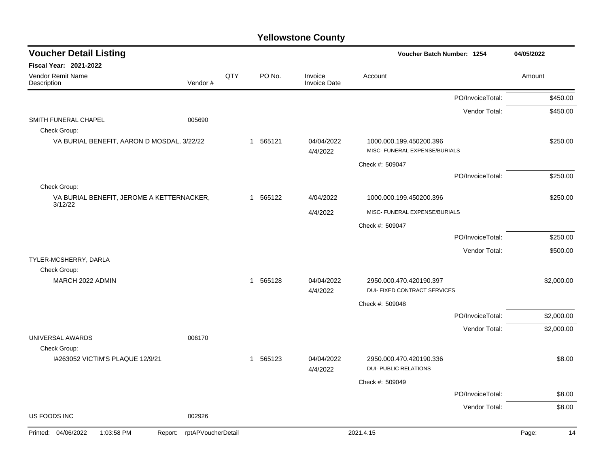| <b>Voucher Detail Listing</b>                             |                               |     |          |                                | Voucher Batch Number: 1254                                     | 04/05/2022  |
|-----------------------------------------------------------|-------------------------------|-----|----------|--------------------------------|----------------------------------------------------------------|-------------|
| <b>Fiscal Year: 2021-2022</b>                             |                               |     |          |                                |                                                                |             |
| Vendor Remit Name<br>Description                          | Vendor#                       | QTY | PO No.   | Invoice<br><b>Invoice Date</b> | Account                                                        | Amount      |
|                                                           |                               |     |          |                                | PO/InvoiceTotal:                                               | \$450.00    |
|                                                           |                               |     |          |                                | Vendor Total:                                                  | \$450.00    |
| SMITH FUNERAL CHAPEL<br>Check Group:                      | 005690                        |     |          |                                |                                                                |             |
| VA BURIAL BENEFIT, AARON D MOSDAL, 3/22/22                |                               |     | 1 565121 | 04/04/2022<br>4/4/2022         | 1000.000.199.450200.396<br>MISC- FUNERAL EXPENSE/BURIALS       | \$250.00    |
|                                                           |                               |     |          |                                | Check #: 509047                                                |             |
|                                                           |                               |     |          |                                | PO/InvoiceTotal:                                               | \$250.00    |
| Check Group:<br>VA BURIAL BENEFIT, JEROME A KETTERNACKER, |                               |     | 1 565122 | 4/04/2022                      | 1000.000.199.450200.396                                        | \$250.00    |
| 3/12/22                                                   |                               |     |          | 4/4/2022                       | MISC- FUNERAL EXPENSE/BURIALS                                  |             |
|                                                           |                               |     |          |                                | Check #: 509047                                                |             |
|                                                           |                               |     |          |                                | PO/InvoiceTotal:                                               | \$250.00    |
|                                                           |                               |     |          |                                | Vendor Total:                                                  | \$500.00    |
| TYLER-MCSHERRY, DARLA<br>Check Group:                     |                               |     |          |                                |                                                                |             |
| MARCH 2022 ADMIN                                          |                               |     | 1 565128 | 04/04/2022<br>4/4/2022         | 2950.000.470.420190.397<br><b>DUI- FIXED CONTRACT SERVICES</b> | \$2,000.00  |
|                                                           |                               |     |          |                                | Check #: 509048                                                |             |
|                                                           |                               |     |          |                                | PO/InvoiceTotal:                                               | \$2,000.00  |
| UNIVERSAL AWARDS                                          | 006170                        |     |          |                                | Vendor Total:                                                  | \$2,000.00  |
| Check Group:                                              |                               |     |          |                                |                                                                |             |
| I#263052 VICTIM'S PLAQUE 12/9/21                          |                               |     | 1 565123 | 04/04/2022<br>4/4/2022         | 2950.000.470.420190.336<br>DUI- PUBLIC RELATIONS               | \$8.00      |
|                                                           |                               |     |          |                                | Check #: 509049                                                |             |
|                                                           |                               |     |          |                                | PO/InvoiceTotal:                                               | \$8.00      |
|                                                           |                               |     |          |                                | Vendor Total:                                                  | \$8.00      |
| <b>US FOODS INC</b>                                       | 002926                        |     |          |                                |                                                                |             |
| Printed: 04/06/2022<br>1:03:58 PM                         | rptAPVoucherDetail<br>Report: |     |          |                                | 2021.4.15                                                      | Page:<br>14 |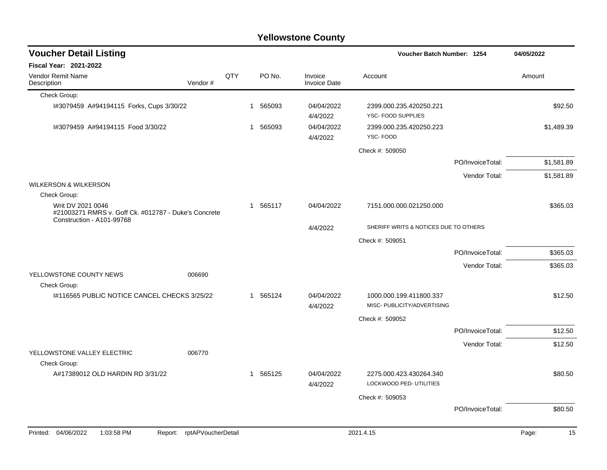| <b>Voucher Detail Listing</b>                                                                          |                    |          |                                | Voucher Batch Number: 1254                             |                  | 04/05/2022  |
|--------------------------------------------------------------------------------------------------------|--------------------|----------|--------------------------------|--------------------------------------------------------|------------------|-------------|
| <b>Fiscal Year: 2021-2022</b>                                                                          |                    |          |                                |                                                        |                  |             |
| <b>Vendor Remit Name</b><br>Vendor#<br>Description                                                     | QTY                | PO No.   | Invoice<br><b>Invoice Date</b> | Account                                                |                  | Amount      |
| Check Group:                                                                                           |                    |          |                                |                                                        |                  |             |
| I#3079459 A#94194115 Forks, Cups 3/30/22                                                               |                    | 1 565093 | 04/04/2022<br>4/4/2022         | 2399.000.235.420250.221<br>YSC- FOOD SUPPLIES          |                  | \$92.50     |
| I#3079459 A#94194115 Food 3/30/22                                                                      |                    | 1 565093 | 04/04/2022<br>4/4/2022         | 2399.000.235.420250.223<br>YSC-FOOD                    |                  | \$1,489.39  |
|                                                                                                        |                    |          |                                | Check #: 509050                                        |                  |             |
|                                                                                                        |                    |          |                                |                                                        | PO/InvoiceTotal: | \$1,581.89  |
|                                                                                                        |                    |          |                                |                                                        | Vendor Total:    | \$1,581.89  |
| <b>WILKERSON &amp; WILKERSON</b>                                                                       |                    |          |                                |                                                        |                  |             |
| Check Group:                                                                                           |                    |          |                                |                                                        |                  |             |
| Writ DV 2021 0046<br>#21003271 RMRS v. Goff Ck. #012787 - Duke's Concrete<br>Construction - A101-99768 |                    | 1 565117 | 04/04/2022                     | 7151.000.000.021250.000                                |                  | \$365.03    |
|                                                                                                        |                    |          | 4/4/2022                       | SHERIFF WRITS & NOTICES DUE TO OTHERS                  |                  |             |
|                                                                                                        |                    |          |                                | Check #: 509051                                        |                  |             |
|                                                                                                        |                    |          |                                |                                                        | PO/InvoiceTotal: | \$365.03    |
|                                                                                                        |                    |          |                                |                                                        | Vendor Total:    | \$365.03    |
| YELLOWSTONE COUNTY NEWS<br>006690<br>Check Group:                                                      |                    |          |                                |                                                        |                  |             |
| I#116565 PUBLIC NOTICE CANCEL CHECKS 3/25/22                                                           |                    | 1 565124 | 04/04/2022<br>4/4/2022         | 1000.000.199.411800.337<br>MISC- PUBLICITY/ADVERTISING |                  | \$12.50     |
|                                                                                                        |                    |          |                                | Check #: 509052                                        |                  |             |
|                                                                                                        |                    |          |                                |                                                        | PO/InvoiceTotal: | \$12.50     |
|                                                                                                        |                    |          |                                |                                                        | Vendor Total:    | \$12.50     |
| YELLOWSTONE VALLEY ELECTRIC<br>006770<br>Check Group:                                                  |                    |          |                                |                                                        |                  |             |
| A#17389012 OLD HARDIN RD 3/31/22                                                                       |                    | 1 565125 | 04/04/2022<br>4/4/2022         | 2275.000.423.430264.340<br>LOCKWOOD PED- UTILITIES     |                  | \$80.50     |
|                                                                                                        |                    |          |                                | Check #: 509053                                        |                  |             |
|                                                                                                        |                    |          |                                |                                                        | PO/InvoiceTotal: | \$80.50     |
| Printed: 04/06/2022<br>1:03:58 PM<br>Report:                                                           | rptAPVoucherDetail |          |                                | 2021.4.15                                              |                  | 15<br>Page: |